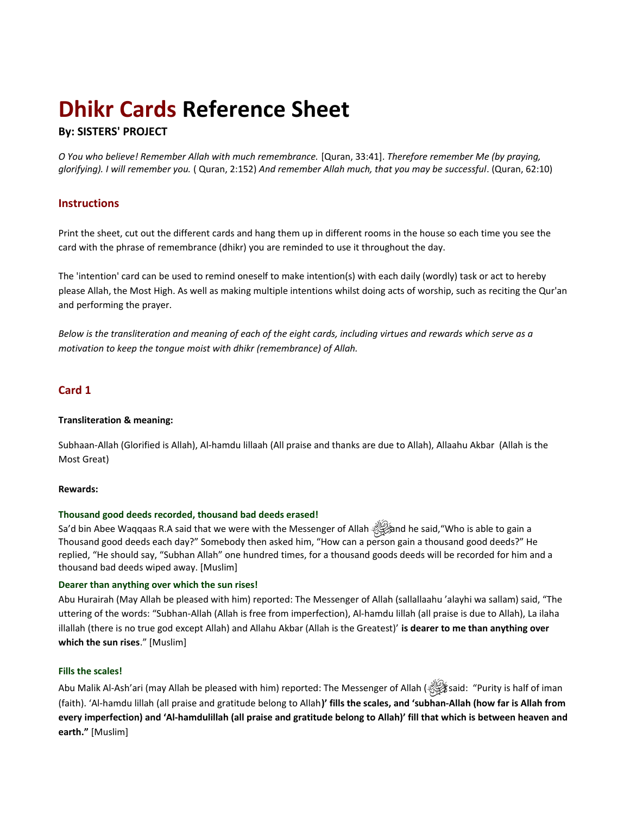# **Dhikr Cards Reference Sheet**

# **By: SISTERS' PROJECT**

*O You who believe! Remember Allah with much remembrance.* [Quran, 33:41]. *Therefore remember Me (by praying, glorifying). I will remember you.* ( Quran, 2:152) *And remember Allah much, that you may be successful*. (Quran, 62:10)

# **Instructions**

Print the sheet, cut out the different cards and hang them up in different rooms in the house so each time you see the card with the phrase of remembrance (dhikr) you are reminded to use it throughout the day.

The 'intention' card can be used to remind oneself to make intention(s) with each daily (wordly) task or act to hereby please Allah, the Most High. As well as making multiple intentions whilst doing acts of worship, such as reciting the Qur'an and performing the prayer.

*Below is the transliteration and meaning of each of the eight cards, including virtues and rewards which serve as a motivation to keep the tongue moist with dhikr (remembrance) of Allah.*

# **Card 1**

## **Transliteration & meaning:**

Subhaan-Allah (Glorified is Allah), Al-hamdu lillaah (All praise and thanks are due to Allah), Allaahu Akbar (Allah is the Most Great)

## **Rewards:**

## **Thousand good deeds recorded, thousand bad deeds erased!**

Sa'd bin Abee Waqqaas R.A said that we were with the Messenger of Allah  $\mathcal{L}$ and he said, "Who is able to gain a Thousand good deeds each day?" Somebody then asked him, "How can a person gain a thousand good deeds?" He replied, "He should say, "Subhan Allah" one hundred times, for a thousand goods deeds will be recorded for him and a thousand bad deeds wiped away. [Muslim]

## **Dearer than anything over which the sun rises!**

Abu Hurairah (May Allah be pleased with him) reported: The Messenger of Allah (sallallaahu 'alayhi wa sallam) said, "The uttering of the words: "Subhan-Allah (Allah is free from imperfection), Al-hamdu lillah (all praise is due to Allah), La ilaha illallah (there is no true god except Allah) and Allahu Akbar (Allah is the Greatest)' **is dearer to me than anything over which the sun rises**." [Muslim]

## **Fills the scales!**

Abu Malik Al-Ash'ari (may Allah be pleased with him) reported: The Messenger of Allah (<a><a></a>( $\mathcal{L}$ )</a>said: "Purity is half of iman (faith). 'Al-hamdu lillah (all praise and gratitude belong to Allah**)' fills the scales, and 'subhan-Allah (how far is Allah from every imperfection) and 'Al-hamdulillah (all praise and gratitude belong to Allah)' fill that which is between heaven and earth."** [Muslim]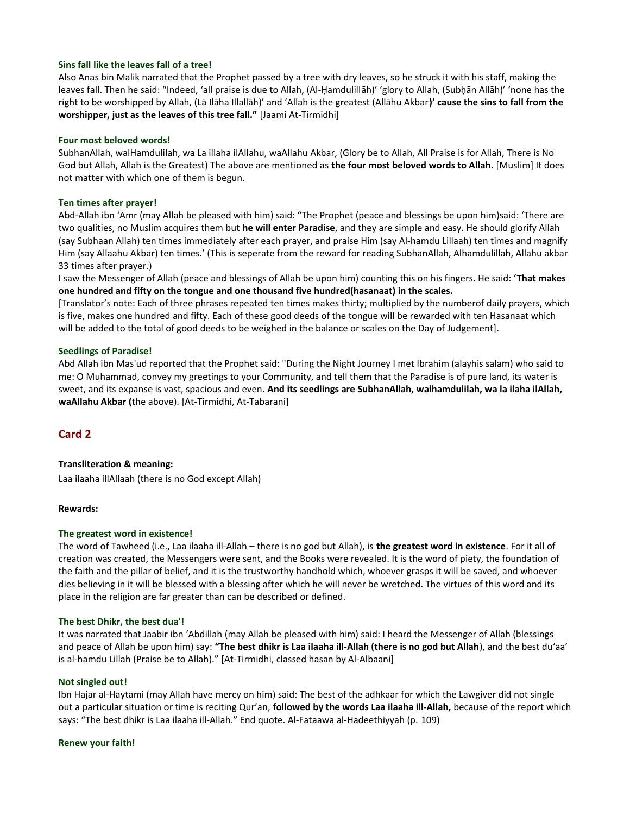## **Sins fall like the leaves fall of a tree!**

Also Anas bin Malik narrated that the Prophet passed by a tree with dry leaves, so he struck it with his staff, making the leaves fall. Then he said: "Indeed, 'all praise is due to Allah, (Al-Ḥamdulillāh)' 'glory to Allah, (Subḥān Allāh)' 'none has the right to be worshipped by Allah, (Lā Ilāha Illallāh)' and 'Allah is the greatest (Allāhu Akbar**)' cause the sins to fall from the worshipper, just as the leaves of this tree fall."** [Jaami At-Tirmidhi]

## **Four most beloved words!**

SubhanAllah, walHamdulilah, wa La illaha ilAllahu, waAllahu Akbar, (Glory be to Allah, All Praise is for Allah, There is No God but Allah, Allah is the Greatest) The above are mentioned as **the four most beloved words to Allah.** [Muslim] It does not matter with which one of them is begun.

#### **Ten times after prayer!**

Abd-Allah ibn 'Amr (may Allah be pleased with him) said: "The Prophet (peace and blessings be upon him)said: 'There are two qualities, no Muslim acquires them but **he will enter Paradise**, and they are simple and easy. He should glorify Allah (say Subhaan Allah) ten times immediately after each prayer, and praise Him (say Al-hamdu Lillaah) ten times and magnify Him (say Allaahu Akbar) ten times.' (This is seperate from the reward for reading SubhanAllah, Alhamdulillah, Allahu akbar 33 times after prayer.)

I saw the Messenger of Allah (peace and blessings of Allah be upon him) counting this on his fingers. He said: '**That makes one hundred and fifty on the tongue and one thousand five hundred(hasanaat) in the scales.**

[Translator's note: Each of three phrases repeated ten times makes thirty; multiplied by the numberof daily prayers, which is five, makes one hundred and fifty. Each of these good deeds of the tongue will be rewarded with ten Hasanaat which will be added to the total of good deeds to be weighed in the balance or scales on the Day of Judgement].

#### **Seedlings of Paradise!**

Abd Allah ibn Mas'ud reported that the Prophet said: "During the Night Journey I met Ibrahim (alayhis salam) who said to me: O Muhammad, convey my greetings to your Community, and tell them that the Paradise is of pure land, its water is sweet, and its expanse is vast, spacious and even. **And its seedlings are SubhanAllah, walhamdulilah, wa la ilaha ilAllah, waAllahu Akbar (**the above). [At-Tirmidhi, At-Tabarani]

## **Card 2**

## **Transliteration & meaning:**

Laa ilaaha illAllaah (there is no God except Allah)

#### **Rewards:**

## **The greatest word in existence!**

The word of Tawheed (i.e., Laa ilaaha ill-Allah – there is no god but Allah), is **the greatest word in existence**. For it all of creation was created, the Messengers were sent, and the Books were revealed. It is the word of piety, the foundation of the faith and the pillar of belief, and it is the trustworthy handhold which, whoever grasps it will be saved, and whoever dies believing in it will be blessed with a blessing after which he will never be wretched. The virtues of this word and its place in the religion are far greater than can be described or defined.

#### **The best Dhikr, the best dua'!**

It was narrated that Jaabir ibn 'Abdillah (may Allah be pleased with him) said: I heard the Messenger of Allah (blessings and peace of Allah be upon him) say: **"The best dhikr is Laa ilaaha ill-Allah (there is no god but Allah**), and the best du'aa' is al-hamdu Lillah (Praise be to Allah)." [At-Tirmidhi, classed hasan by Al-Albaani]

#### **Not singled out!**

Ibn Hajar al-Haytami (may Allah have mercy on him) said: The best of the adhkaar for which the Lawgiver did not single out a particular situation or time is reciting Qur'an, **followed by the words Laa ilaaha ill-Allah,** because of the report which says: "The best dhikr is Laa ilaaha ill-Allah." End quote. Al-Fataawa al-Hadeethiyyah (p. 109)

#### **Renew your faith!**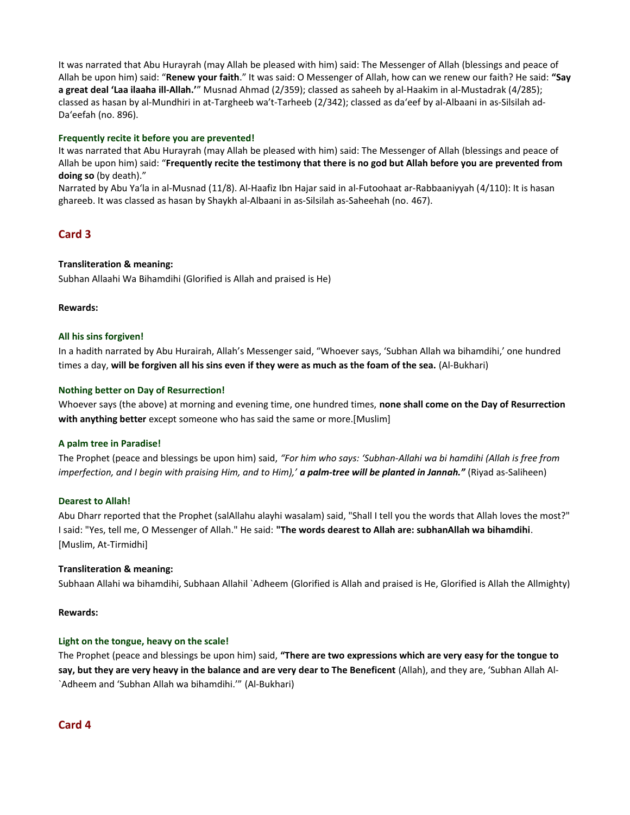It was narrated that Abu Hurayrah (may Allah be pleased with him) said: The Messenger of Allah (blessings and peace of Allah be upon him) said: "**Renew your faith**." It was said: O Messenger of Allah, how can we renew our faith? He said: **"Say a great deal 'Laa ilaaha ill-Allah.'**" Musnad Ahmad (2/359); classed as saheeh by al-Haakim in al-Mustadrak (4/285); classed as hasan by al-Mundhiri in at-Targheeb wa't-Tarheeb (2/342); classed as da'eef by al-Albaani in as-Silsilah ad-Da'eefah (no. 896).

## **Frequently recite it before you are prevented!**

It was narrated that Abu Hurayrah (may Allah be pleased with him) said: The Messenger of Allah (blessings and peace of Allah be upon him) said: "**Frequently recite the testimony that there is no god but Allah before you are prevented from doing so** (by death)."

Narrated by Abu Ya'la in al-Musnad (11/8). Al-Haafiz Ibn Hajar said in al-Futoohaat ar-Rabbaaniyyah (4/110): It is hasan ghareeb. It was classed as hasan by Shaykh al-Albaani in as-Silsilah as-Saheehah (no. 467).

# **Card 3**

## **Transliteration & meaning:**

Subhan Allaahi Wa Bihamdihi (Glorified is Allah and praised is He)

## **Rewards:**

## **All his sins forgiven!**

In a hadith narrated by Abu Hurairah, Allah's Messenger said, "Whoever says, 'Subhan Allah wa bihamdihi,' one hundred times a day, **will be forgiven all his sins even if they were as much as the foam of the sea.** (Al-Bukhari)

## **Nothing better on Day of Resurrection!**

Whoever says (the above) at morning and evening time, one hundred times, **none shall come on the Day of Resurrection with anything better** except someone who has said the same or more.[Muslim]

## **A palm tree in Paradise!**

The Prophet (peace and blessings be upon him) said, *"For him who says: 'Subhan-Allahi wa bi hamdihi (Allah is free from imperfection, and I begin with praising Him, and to Him),' a palm-tree will be planted in Jannah." (Riyad as-Saliheen)* 

## **Dearest to Allah!**

Abu Dharr reported that the Prophet (salAllahu alayhi wasalam) said, "Shall I tell you the words that Allah loves the most?" I said: "Yes, tell me, O Messenger of Allah." He said: **"The words dearest to Allah are: subhanAllah wa bihamdihi**. [Muslim, At-Tirmidhi]

## **Transliteration & meaning:**

Subhaan Allahi wa bihamdihi, Subhaan Allahil `Adheem (Glorified is Allah and praised is He, Glorified is Allah the Allmighty)

## **Rewards:**

## **Light on the tongue, heavy on the scale!**

The Prophet (peace and blessings be upon him) said, **"There are two expressions which are very easy for the tongue to say, but they are very heavy in the balance and are very dear to The Beneficent** (Allah), and they are, 'Subhan Allah Al- `Adheem and 'Subhan Allah wa bihamdihi.'" (Al-Bukhari)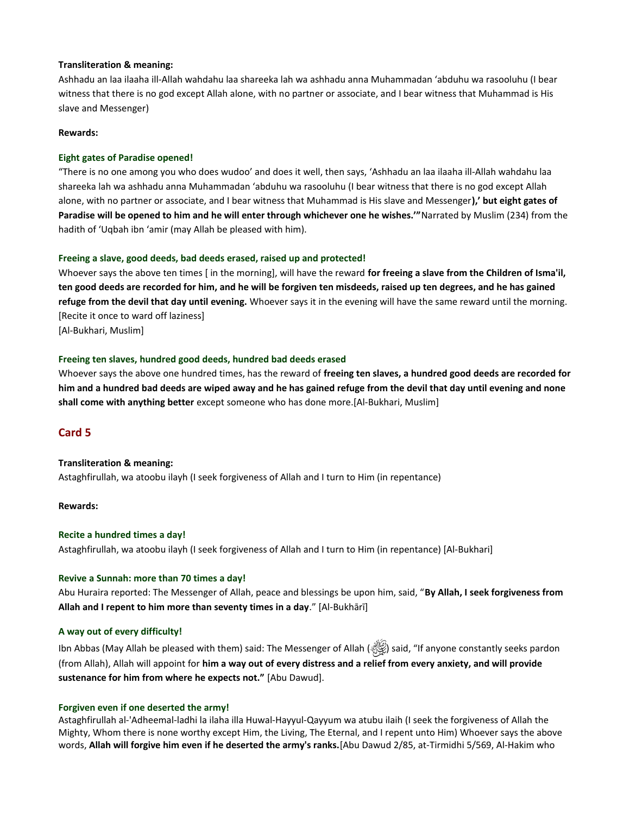## **Transliteration & meaning:**

Ashhadu an laa ilaaha ill-Allah wahdahu laa shareeka lah wa ashhadu anna Muhammadan 'abduhu wa rasooluhu (I bear witness that there is no god except Allah alone, with no partner or associate, and I bear witness that Muhammad is His slave and Messenger)

## **Rewards:**

## **Eight gates of Paradise opened!**

"There is no one among you who does wudoo' and does it well, then says, 'Ashhadu an laa ilaaha ill-Allah wahdahu laa shareeka lah wa ashhadu anna Muhammadan 'abduhu wa rasooluhu (I bear witness that there is no god except Allah alone, with no partner or associate, and I bear witness that Muhammad is His slave and Messenger**),' but eight gates of Paradise will be opened to him and he will enter through whichever one he wishes.'"**Narrated by Muslim (234) from the hadith of 'Uqbah ibn 'amir (may Allah be pleased with him).

## **Freeing a slave, good deeds, bad deeds erased, raised up and protected!**

Whoever says the above ten times [ in the morning], will have the reward **for freeing a slave from the Children of Isma'il, ten good deeds are recorded for him, and he will be forgiven ten misdeeds, raised up ten degrees, and he has gained refuge from the devil that day until evening.** Whoever says it in the evening will have the same reward until the morning. [Recite it once to ward off laziness]

[Al-Bukhari, Muslim]

## **Freeing ten slaves, hundred good deeds, hundred bad deeds erased**

Whoever says the above one hundred times, has the reward of **freeing ten slaves, a hundred good deeds are recorded for him and a hundred bad deeds are wiped away and he has gained refuge from the devil that day until evening and none shall come with anything better** except someone who has done more.[Al-Bukhari, Muslim]

# **Card 5**

## **Transliteration & meaning:**

Astaghfirullah, wa atoobu ilayh (I seek forgiveness of Allah and I turn to Him (in repentance)

## **Rewards:**

## **Recite a hundred times a day!**

Astaghfirullah, wa atoobu ilayh (I seek forgiveness of Allah and I turn to Him (in repentance) [Al-Bukhari]

## **Revive a Sunnah: more than 70 times a day!**

Abu Huraira reported: The Messenger of Allah, peace and blessings be upon him, said, "**By Allah, I seek forgiveness from Allah and I repent to him more than seventy times in a day**." [Al-Bukhāri]

## **A way out of every difficulty!**

Ibn Abbas (May Allah be pleased with them) said: The Messenger of Allah ( $\gg$ ) said, "If anyone constantly seeks pardon (from Allah), Allah will appoint for **him a way out of every distress and a relief from every anxiety, and will provide sustenance for him from where he expects not."** [Abu Dawud].

## **Forgiven even if one deserted the army!**

Astaghfirullah al-'Adheemal-ladhi la ilaha illa Huwal-Hayyul-Qayyum wa atubu ilaih (I seek the forgiveness of Allah the Mighty, Whom there is none worthy except Him, the Living, The Eternal, and I repent unto Him) Whoever says the above words, **Allah will forgive him even if he deserted the army's ranks.**[Abu Dawud 2/85, at-Tirmidhi 5/569, Al-Hakim who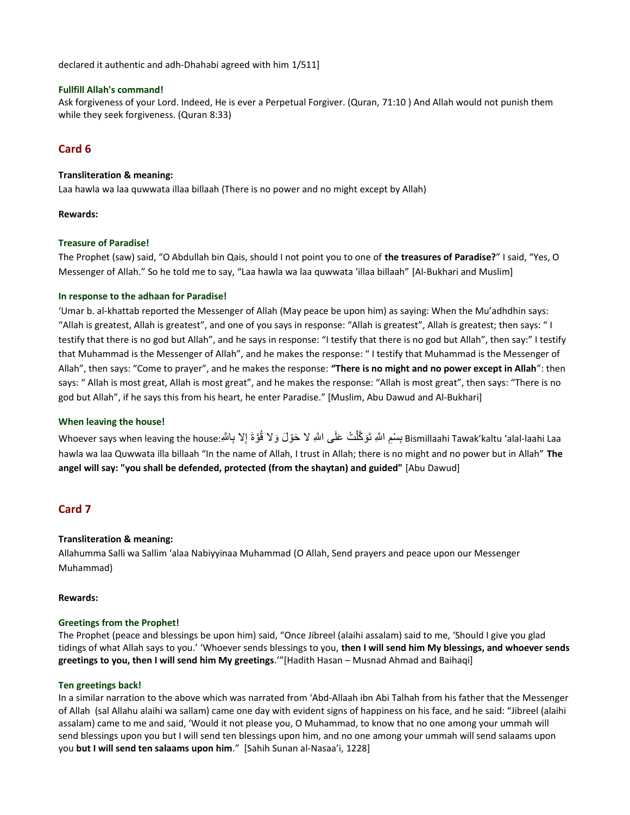declared it authentic and adh-Dhahabi agreed with him 1/511]

## **Fullfill Allah's command!**

Ask forgiveness of your Lord. Indeed, He is ever a Perpetual Forgiver. (Quran, 71:10 ) And Allah would not punish them while they seek forgiveness. (Quran 8:33)

# **Card 6**

## **Transliteration & meaning:**

Laa hawla wa laa quwwata illaa billaah (There is no power and no might except by Allah)

## **Rewards:**

## **Treasure of Paradise!**

The Prophet (saw) said, "O Abdullah bin Qais, should I not point you to one of **the treasures of Paradise?**" I said, "Yes, O Messenger of Allah." So he told me to say, "Laa hawla wa laa quwwata 'illaa billaah" [Al-Bukhari and Muslim]

## **In response to the adhaan for Paradise!**

'Umar b. al-khattab reported the Messenger of Allah (May peace be upon him) as saying: When the Mu'adhdhin says: "Allah is greatest, Allah is greatest", and one of you says in response: "Allah is greatest", Allah is greatest; then says: " I testify that there is no god but Allah", and he says in response: "I testify that there is no god but Allah", then say:" I testify that Muhammad is the Messenger of Allah", and he makes the response: " I testify that Muhammad is the Messenger of Allah", then says: "Come to prayer", and he makes the response: **"There is no might and no power except in Allah**": then says: " Allah is most great, Allah is most great", and he makes the response: "Allah is most great", then says: "There is no god but Allah", if he says this from his heart, he enter Paradise." [Muslim, Abu Dawud and Al-Bukhari]

## **When leaving the house!**

Bismillaahi Tawak'kaltu 'alal-laahi Laa لِسْمِ اللَّهِ تَوَكَّلْتُ عَلَى اللَّهِ لا حَوْلَ وَ لا قُوَّةَ إِلا بِاللَّهِ.Whoever says when leaving the house ل hawla wa laa Quwwata illa billaah "In the name of Allah, I trust in Allah; there is no might and no power but in Allah" **The angel will say: "you shall be defended, protected (from the shaytan) and guided"** [Abu Dawud]

# **Card 7**

## **Transliteration & meaning:**

Allahumma Salli wa Sallim 'alaa Nabiyyinaa Muhammad (O Allah, Send prayers and peace upon our Messenger Muhammad)

## **Rewards:**

## **Greetings from the Prophet!**

The Prophet (peace and blessings be upon him) said, "Once Jibreel (alaihi assalam) said to me, 'Should I give you glad tidings of what Allah says to you.' 'Whoever sends blessings to you, **then I will send him My blessings, and whoever sends greetings to you, then I will send him My greetings**.'"[Hadith Hasan – Musnad Ahmad and Baihaqi]

## **Ten greetings back!**

In a similar narration to the above which was narrated from 'Abd-Allaah ibn Abi Talhah from his father that the Messenger of Allah (sal Allahu alaihi wa sallam) came one day with evident signs of happiness on his face, and he said: "Jibreel (alaihi assalam) came to me and said, 'Would it not please you, O Muhammad, to know that no one among your ummah will send blessings upon you but I will send ten blessings upon him, and no one among your ummah will send salaams upon you **but I will send ten salaams upon him**." [Sahih Sunan al-Nasaa'i, 1228]